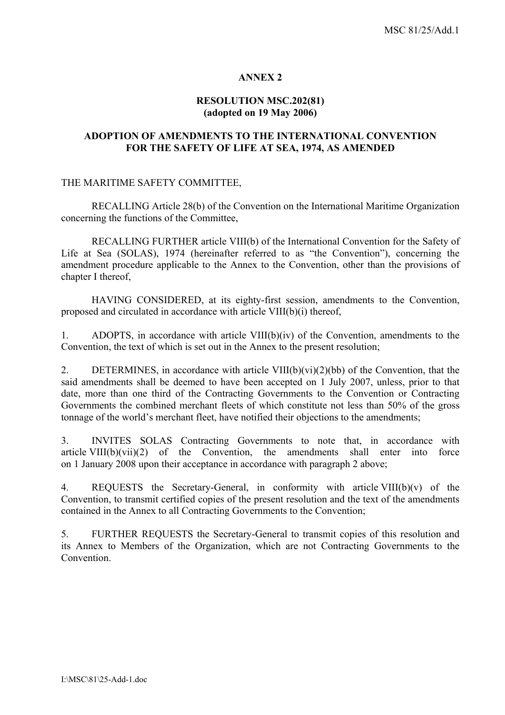### **ANNEX 2**

#### **RESOLUTION MSC.202(81) (adopted on 19 May 2006)**

#### **ADOPTION OF AMENDMENTS TO THE INTERNATIONAL CONVENTION FOR THE SAFETY OF LIFE AT SEA, 1974, AS AMENDED**

#### THE MARITIME SAFETY COMMITTEE,

RECALLING Article 28(b) of the Convention on the International Maritime Organization concerning the functions of the Committee,

RECALLING FURTHER article VIII(b) of the International Convention for the Safety of Life at Sea (SOLAS), 1974 (hereinafter referred to as "the Convention"), concerning the amendment procedure applicable to the Annex to the Convention, other than the provisions of chapter I thereof,

HAVING CONSIDERED, at its eighty-first session, amendments to the Convention, proposed and circulated in accordance with article VIII(b)(i) thereof,

1. ADOPTS, in accordance with article VIII(b)(iv) of the Convention, amendments to the Convention, the text of which is set out in the Annex to the present resolution;

2. DETERMINES, in accordance with article VIII(b)(vi)(2)(bb) of the Convention, that the said amendments shall be deemed to have been accepted on 1 July 2007, unless, prior to that date, more than one third of the Contracting Governments to the Convention or Contracting Governments the combined merchant fleets of which constitute not less than 50% of the gross tonnage of the world's merchant fleet, have notified their objections to the amendments;

3. INVITES SOLAS Contracting Governments to note that, in accordance with article VIII(b)(vii)(2) of the Convention, the amendments shall enter into force on 1 January 2008 upon their acceptance in accordance with paragraph 2 above;

4. REQUESTS the Secretary-General, in conformity with article VIII(b)(v) of the Convention, to transmit certified copies of the present resolution and the text of the amendments contained in the Annex to all Contracting Governments to the Convention;

5. FURTHER REQUESTS the Secretary-General to transmit copies of this resolution and its Annex to Members of the Organization, which are not Contracting Governments to the **Convention**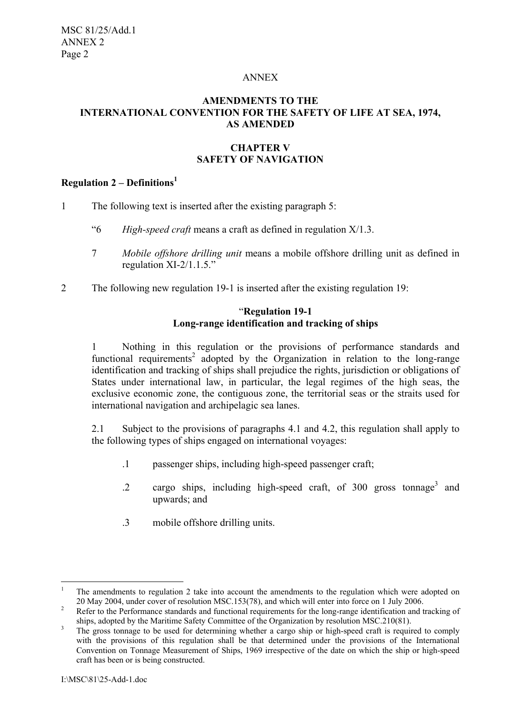#### ANNEX

## **AMENDMENTS TO THE INTERNATIONAL CONVENTION FOR THE SAFETY OF LIFE AT SEA, 1974, AS AMENDED**

## **CHAPTER V SAFETY OF NAVIGATION**

# **Regulation 2 – Definitions<sup>1</sup>**

- 1 The following text is inserted after the existing paragraph 5:
	- "6 *High-speed craft* means a craft as defined in regulation X/1.3.
	- 7 *Mobile offshore drilling unit* means a mobile offshore drilling unit as defined in regulation XI-2/1.1.5."
- 2 The following new regulation 19-1 is inserted after the existing regulation 19:

### "**Regulation 19-1 Long-range identification and tracking of ships**

1 Nothing in this regulation or the provisions of performance standards and functional requirements<sup>2</sup> adopted by the Organization in relation to the long-range identification and tracking of ships shall prejudice the rights, jurisdiction or obligations of States under international law, in particular, the legal regimes of the high seas, the exclusive economic zone, the contiguous zone, the territorial seas or the straits used for international navigation and archipelagic sea lanes.

2.1 Subject to the provisions of paragraphs 4.1 and 4.2, this regulation shall apply to the following types of ships engaged on international voyages:

- .1 passenger ships, including high-speed passenger craft;
- .2 cargo ships, including high-speed craft, of 300 gross tonnage<sup>3</sup> and upwards; and
- .3 mobile offshore drilling units.

 $\frac{1}{1}$ The amendments to regulation 2 take into account the amendments to the regulation which were adopted on 20 May 2004, under cover of resolution MSC.153(78), and which will enter into force on 1 July 2006.

<sup>&</sup>lt;sup>2</sup> Refer to the Performance standards and functional requirements for the long-range identification and tracking of

ships, adopted by the Maritime Safety Committee of the Organization by resolution MSC.210(81).<br><sup>3</sup> The gross tonnage to be used for determining whether a cargo ship or high-speed craft is required to comply with the provisions of this regulation shall be that determined under the provisions of the International Convention on Tonnage Measurement of Ships, 1969 irrespective of the date on which the ship or high-speed craft has been or is being constructed.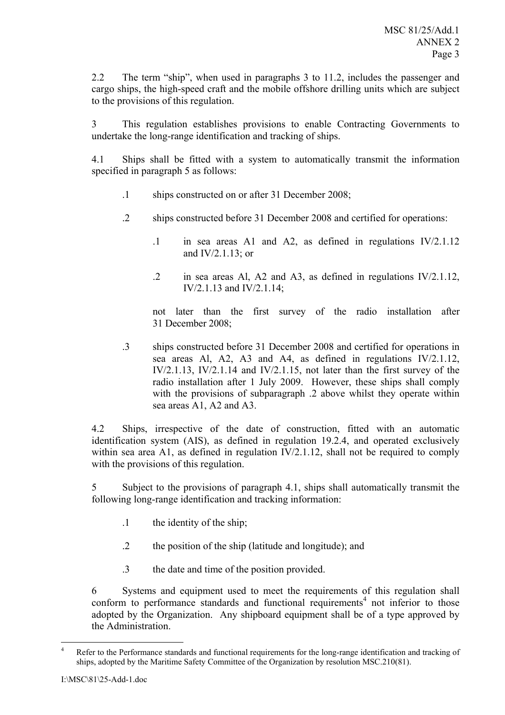2.2 The term "ship", when used in paragraphs 3 to 11.2, includes the passenger and cargo ships, the high-speed craft and the mobile offshore drilling units which are subject to the provisions of this regulation.

3 This regulation establishes provisions to enable Contracting Governments to undertake the long-range identification and tracking of ships.

4.1 Ships shall be fitted with a system to automatically transmit the information specified in paragraph 5 as follows:

- .1 ships constructed on or after 31 December 2008;
- .2 ships constructed before 31 December 2008 and certified for operations:
	- .1 in sea areas A1 and A2, as defined in regulations IV/2.1.12 and IV/2.1.13; or
	- .2 in sea areas Al, A2 and A3, as defined in regulations IV/2.1.12, IV/2.1.13 and IV/2.1.14;

not later than the first survey of the radio installation after 31 December 2008;

.3 ships constructed before 31 December 2008 and certified for operations in sea areas Al, A2, A3 and A4, as defined in regulations IV/2.1.12, IV/2.1.13, IV/2.1.14 and IV/2.1.15, not later than the first survey of the radio installation after 1 July 2009. However, these ships shall comply with the provisions of subparagraph .2 above whilst they operate within sea areas A1, A2 and A3.

4.2 Ships, irrespective of the date of construction, fitted with an automatic identification system (AIS), as defined in regulation 19.2.4, and operated exclusively within sea area A1, as defined in regulation IV/2.1.12, shall not be required to comply with the provisions of this regulation.

5 Subject to the provisions of paragraph 4.1, ships shall automatically transmit the following long-range identification and tracking information:

- .1 the identity of the ship;
- .2 the position of the ship (latitude and longitude); and
- .3 the date and time of the position provided.

6 Systems and equipment used to meet the requirements of this regulation shall  $\frac{1}{2}$  conform to performance standards and functional requirements<sup>4</sup> not inferior to those adopted by the Organization. Any shipboard equipment shall be of a type approved by the Administration.

 $\frac{1}{4}$  Refer to the Performance standards and functional requirements for the long-range identification and tracking of ships, adopted by the Maritime Safety Committee of the Organization by resolution MSC.210(81).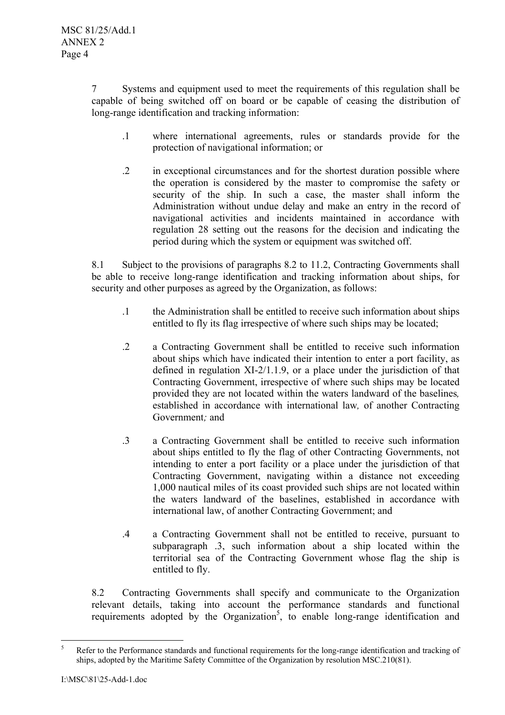7 Systems and equipment used to meet the requirements of this regulation shall be capable of being switched off on board or be capable of ceasing the distribution of long-range identification and tracking information:

- .1 where international agreements, rules or standards provide for the protection of navigational information; or
- .2 in exceptional circumstances and for the shortest duration possible where the operation is considered by the master to compromise the safety or security of the ship. In such a case, the master shall inform the Administration without undue delay and make an entry in the record of navigational activities and incidents maintained in accordance with regulation 28 setting out the reasons for the decision and indicating the period during which the system or equipment was switched off.

8.1 Subject to the provisions of paragraphs 8.2 to 11.2, Contracting Governments shall be able to receive long-range identification and tracking information about ships, for security and other purposes as agreed by the Organization, as follows:

- .1 the Administration shall be entitled to receive such information about ships entitled to fly its flag irrespective of where such ships may be located;
- .2 a Contracting Government shall be entitled to receive such information about ships which have indicated their intention to enter a port facility, as defined in regulation XI-2/1.1.9, or a place under the jurisdiction of that Contracting Government, irrespective of where such ships may be located provided they are not located within the waters landward of the baselines*,* established in accordance with international law*,* of another Contracting Government*;* and
- .3 a Contracting Government shall be entitled to receive such information about ships entitled to fly the flag of other Contracting Governments, not intending to enter a port facility or a place under the jurisdiction of that Contracting Government, navigating within a distance not exceeding 1,000 nautical miles of its coast provided such ships are not located within the waters landward of the baselines, established in accordance with international law, of another Contracting Government; and
- .4 a Contracting Government shall not be entitled to receive, pursuant to subparagraph .3, such information about a ship located within the territorial sea of the Contracting Government whose flag the ship is entitled to fly.

8.2 Contracting Governments shall specify and communicate to the Organization relevant details, taking into account the performance standards and functional requirements adopted by the Organization<sup>5</sup>, to enable long-range identification and

 5 Refer to the Performance standards and functional requirements for the long-range identification and tracking of ships, adopted by the Maritime Safety Committee of the Organization by resolution MSC.210(81).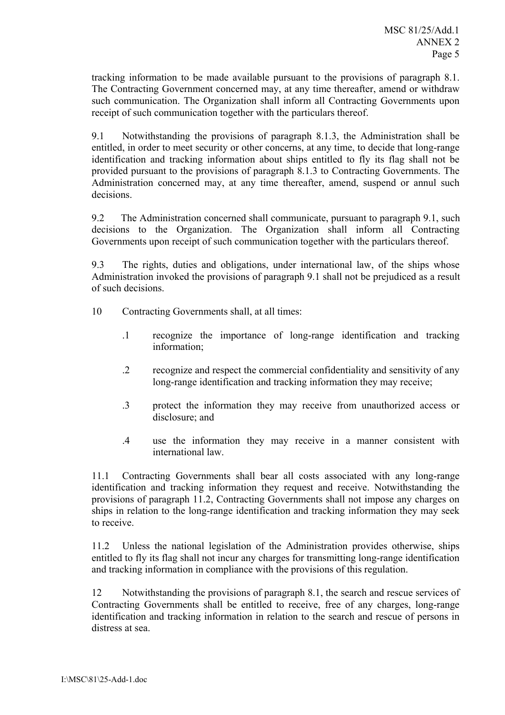tracking information to be made available pursuant to the provisions of paragraph 8.1. The Contracting Government concerned may, at any time thereafter, amend or withdraw such communication. The Organization shall inform all Contracting Governments upon receipt of such communication together with the particulars thereof.

9.1 Notwithstanding the provisions of paragraph 8.1.3, the Administration shall be entitled, in order to meet security or other concerns, at any time, to decide that long-range identification and tracking information about ships entitled to fly its flag shall not be provided pursuant to the provisions of paragraph 8.1.3 to Contracting Governments. The Administration concerned may, at any time thereafter, amend, suspend or annul such decisions.

9.2 The Administration concerned shall communicate, pursuant to paragraph 9.1, such decisions to the Organization. The Organization shall inform all Contracting Governments upon receipt of such communication together with the particulars thereof.

9.3 The rights, duties and obligations, under international law, of the ships whose Administration invoked the provisions of paragraph 9.1 shall not be prejudiced as a result of such decisions.

- 10 Contracting Governments shall, at all times:
	- .1 recognize the importance of long-range identification and tracking information;
	- .2 recognize and respect the commercial confidentiality and sensitivity of any long-range identification and tracking information they may receive;
	- .3 protect the information they may receive from unauthorized access or disclosure; and
	- .4 use the information they may receive in a manner consistent with international law.

11.1 Contracting Governments shall bear all costs associated with any long-range identification and tracking information they request and receive. Notwithstanding the provisions of paragraph 11.2, Contracting Governments shall not impose any charges on ships in relation to the long-range identification and tracking information they may seek to receive.

11.2 Unless the national legislation of the Administration provides otherwise, ships entitled to fly its flag shall not incur any charges for transmitting long-range identification and tracking information in compliance with the provisions of this regulation.

12 Notwithstanding the provisions of paragraph 8.1, the search and rescue services of Contracting Governments shall be entitled to receive, free of any charges, long-range identification and tracking information in relation to the search and rescue of persons in distress at sea.